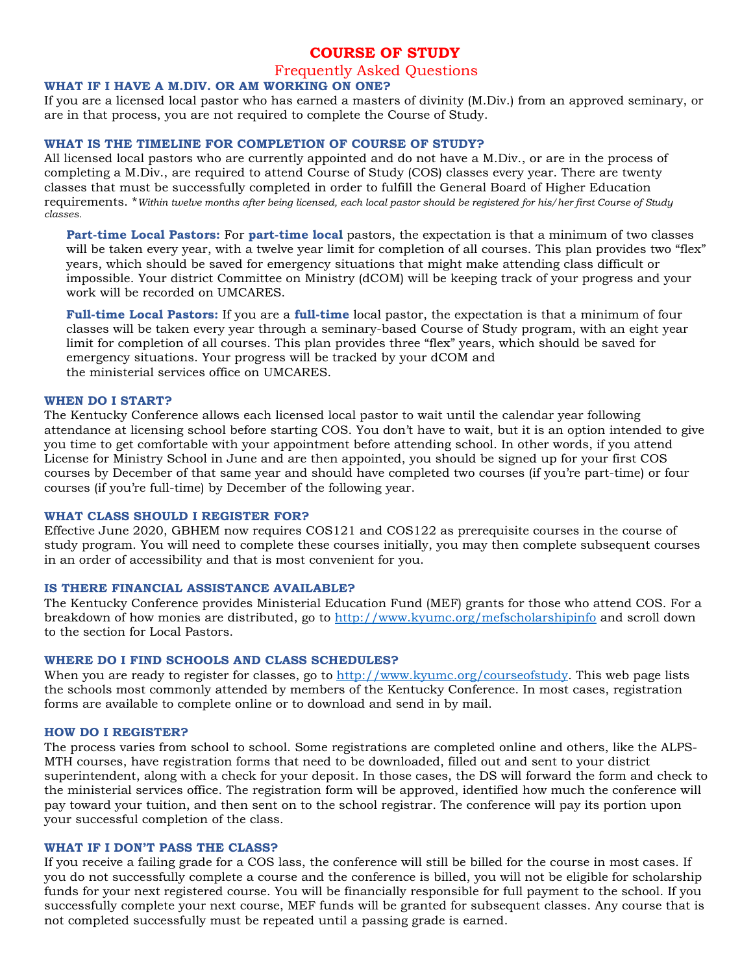# **COURSE OF STUDY**

## Frequently Asked Questions

## **WHAT IF I HAVE A M.DIV. OR AM WORKING ON ONE?**

If you are a licensed local pastor who has earned a masters of divinity (M.Div.) from an approved seminary, or are in that process, you are not required to complete the Course of Study.

#### **WHAT IS THE TIMELINE FOR COMPLETION OF COURSE OF STUDY?**

All licensed local pastors who are currently appointed and do not have a M.Div., or are in the process of completing a M.Div., are required to attend Course of Study (COS) classes every year. There are twenty classes that must be successfully completed in order to fulfill the General Board of Higher Education requirements. \**Within twelve months after being licensed, each local pastor should be registered for his/her first Course of Study classes.*

**Part-time Local Pastors:** For **part-time local** pastors, the expectation is that a minimum of two classes will be taken every year, with a twelve year limit for completion of all courses. This plan provides two "flex" years, which should be saved for emergency situations that might make attending class difficult or impossible. Your district Committee on Ministry (dCOM) will be keeping track of your progress and your work will be recorded on UMCARES.

**Full-time Local Pastors:** If you are a **full-time** local pastor, the expectation is that a minimum of four classes will be taken every year through a seminary-based Course of Study program, with an eight year limit for completion of all courses. This plan provides three "flex" years, which should be saved for emergency situations. Your progress will be tracked by your dCOM and the ministerial services office on UMCARES.

## **WHEN DO I START?**

The Kentucky Conference allows each licensed local pastor to wait until the calendar year following attendance at licensing school before starting COS. You don't have to wait, but it is an option intended to give you time to get comfortable with your appointment before attending school. In other words, if you attend License for Ministry School in June and are then appointed, you should be signed up for your first COS courses by December of that same year and should have completed two courses (if you're part-time) or four courses (if you're full-time) by December of the following year.

#### **WHAT CLASS SHOULD I REGISTER FOR?**

Effective June 2020, GBHEM now requires COS121 and COS122 as prerequisite courses in the course of study program. You will need to complete these courses initially, you may then complete subsequent courses in an order of accessibility and that is most convenient for you.

### **IS THERE FINANCIAL ASSISTANCE AVAILABLE?**

The Kentucky Conference provides Ministerial Education Fund (MEF) grants for those who attend COS. For a breakdown of how monies are distributed, go to<http://www.kyumc.org/mefscholarshipinfo> and scroll down to the section for Local Pastors.

### **WHERE DO I FIND SCHOOLS AND CLASS SCHEDULES?**

When you are ready to register for classes, go to [http://www.kyumc.org/courseofstudy.](http://www.kyumc.org/courseofstudy) This web page lists the schools most commonly attended by members of the Kentucky Conference. In most cases, registration forms are available to complete online or to download and send in by mail.

#### **HOW DO I REGISTER?**

The process varies from school to school. Some registrations are completed online and others, like the ALPS-MTH courses, have registration forms that need to be downloaded, filled out and sent to your district superintendent, along with a check for your deposit. In those cases, the DS will forward the form and check to the ministerial services office. The registration form will be approved, identified how much the conference will pay toward your tuition, and then sent on to the school registrar. The conference will pay its portion upon your successful completion of the class.

#### **WHAT IF I DON'T PASS THE CLASS?**

If you receive a failing grade for a COS lass, the conference will still be billed for the course in most cases. If you do not successfully complete a course and the conference is billed, you will not be eligible for scholarship funds for your next registered course. You will be financially responsible for full payment to the school. If you successfully complete your next course, MEF funds will be granted for subsequent classes. Any course that is not completed successfully must be repeated until a passing grade is earned.